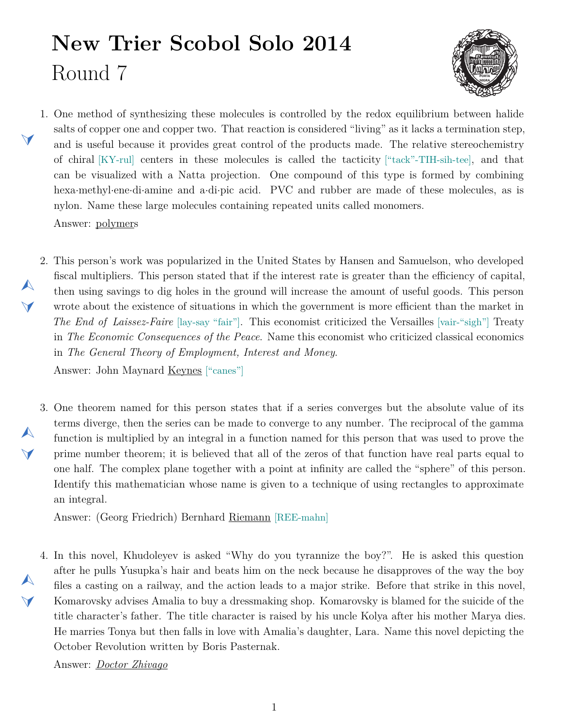## **New Trier Scobol Solo 2014** Round 7



- <span id="page-0-1"></span>1. One method of synthesizing these molecules is controlled by the redox equilibrium between halide salts of copper one and copper two. That reaction is considered "living" as it lacks a termination step, and is useful because it provides great control of the products made. The relative stereochemistry of chiral [KY-rul] centers in these molecules is called the tacticity ["tack"-TIH-sih-tee], and that can be visualized with a Natta projection. One compound of this type is formed by combining hexa*·*methyl*·*ene*·*di*·*amine and a*·*di*·*pic acid. PVC and rubber are made of these molecules, as is nylon. Name these large molecules containing repeated units called monomers. Answer: polymers
- <span id="page-0-0"></span>2. This person's work was popularized in the United States by Hansen and Samuelson, who developed  $\blacktriangle$ fiscal multipliers. This person stated that if the interest rate is greater than the efficiency of capital, then using savings to dig holes in the ground will increase the amount of useful goods. This person wrote about the existence of situations in which the government is more efficient than the market in *The End of Laissez-Faire* [lay-say "fair"]. This economist criticized the Versailles [vair-"sigh"] Treaty in *The Economic Consequences of the Peace*. Name this economist who criticized classical economics in *The General Theory of Employment, Interest and Money*.

Answer: John Maynard Keynes ["canes"]

 $\blacktriangleleft$ 

 $\blacktriangledown$ 

 $\blacktriangle$ 

 $\blacktriangle$ 

 $\blacktriangleleft$ 

<span id="page-0-2"></span>3. One theorem named for this person states that if a series converges but the absolute value of its terms diverge, then the series can be made to converge to any number. The reciprocal of the gamma function is multiplied by an integral in a function named for this person that was used to prove the prime number theorem; it is believed that all of the zeros of that function have real parts equal to one half. The complex plane together with a point at infinity are called the "sphere" of this person. Identify this mathematician whose name is given to a technique of using rectangles to approximate an integral.

Answer: (Georg Friedrich) Bernhard Riemann [REE-mahn]

<span id="page-0-3"></span>4. In this novel, Khudoleyev is asked "Why do you tyrannize the boy?". He is asked this question  $\blacktriangle$ after he pulls Yusupka's hair and beats him on the neck because he disapproves of the way the boy files a casting on a railway, and the action leads to a major strike. Before that strike in this novel, Komarovsky advises Amalia to buy a dressmaking shop. Komarovsky is blamed for the suicide of the title character's father. The title character is raised by his uncle Kolya after his mother Marya dies. He marries Tonya but then falls in love with Amalia's daughter, Lara. Name this novel depicting the October Revolution written by Boris Pasternak.

Answer: *Doctor Zhivago*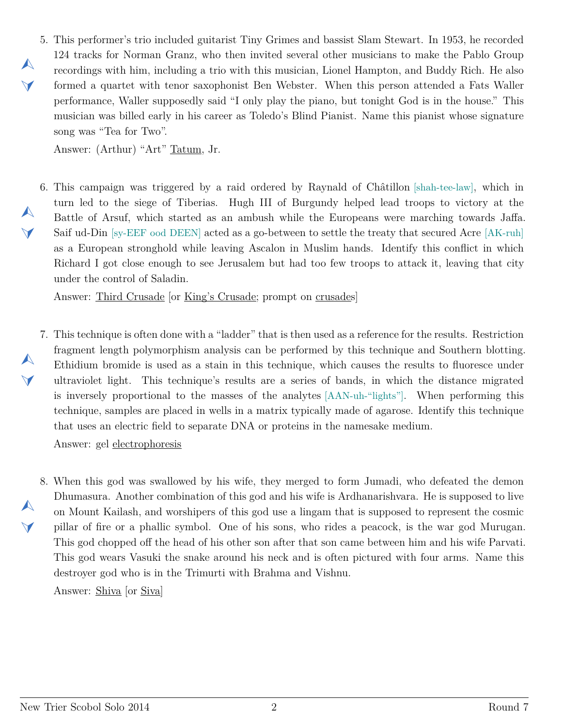<span id="page-1-0"></span>5. This performer's trio included guitarist Tiny Grimes and bassist Slam Stewart. In 1953, he recorded 124 tracks for Norman Granz, who then invited several other musicians to make the Pablo Group recordings with him, including a trio with this musician, Lionel Hampton, and Buddy Rich. He also formed a quartet with tenor saxophonist Ben Webster. When this person attended a Fats Waller performance, Waller supposedly said "I only play the piano, but tonight God is in the house." This musician was billed early in his career as Toledo's Blind Pianist. Name this pianist whose signature song was "Tea for Two".

Answer: (Arthur) "Art" Tatum, Jr.

 $\blacktriangle$ 

 $\vee$ 

 $\blacktriangle$ 

 $\vee$ 

 $\blacktriangle$ 

 $\blacktriangledown$ 

 $\blacktriangle$ 

 $\blacktriangledown$ 

<span id="page-1-1"></span>6. This campaign was triggered by a raid ordered by Raynald of Châtillon [shah-tee-law], which in turn led to the siege of Tiberias. Hugh III of Burgundy helped lead troops to victory at the Battle of Arsuf, which started as an ambush while the Europeans were marching towards Jaffa. Saif ud-Din [sy-EEF ood DEEN] acted as a go-between to settle the treaty that secured Acre [AK-ruh] as a European stronghold while leaving Ascalon in Muslim hands. Identify this conflict in which Richard I got close enough to see Jerusalem but had too few troops to attack it, leaving that city under the control of Saladin.

Answer: Third Crusade [or King's Crusade; prompt on crusades]

<span id="page-1-2"></span>7. This technique is often done with a "ladder" that is then used as a reference for the results. Restriction fragment length polymorphism analysis can be performed by this technique and Southern blotting. Ethidium bromide is used as a stain in this technique, which causes the results to fluoresce under ultraviolet light. This technique's results are a series of bands, in which the distance migrated is inversely proportional to the masses of the analytes [AAN-uh-"lights"]. When performing this technique, samples are placed in wells in a matrix typically made of agarose. Identify this technique that uses an electric field to separate DNA or proteins in the namesake medium.

Answer: gel electrophoresis

<span id="page-1-3"></span>8. When this god was swallowed by his wife, they merged to form Jumadi, who defeated the demon Dhumasura. Another combination of this god and his wife is Ardhanarishvara. He is supposed to live on Mount Kailash, and worshipers of this god use a lingam that is supposed to represent the cosmic pillar of fire or a phallic symbol. One of his sons, who rides a peacock, is the war god Murugan. This god chopped off the head of his other son after that son came between him and his wife Parvati. This god wears Vasuki the snake around his neck and is often pictured with four arms. Name this destroyer god who is in the Trimurti with Brahma and Vishnu.

Answer: Shiva [or Siva]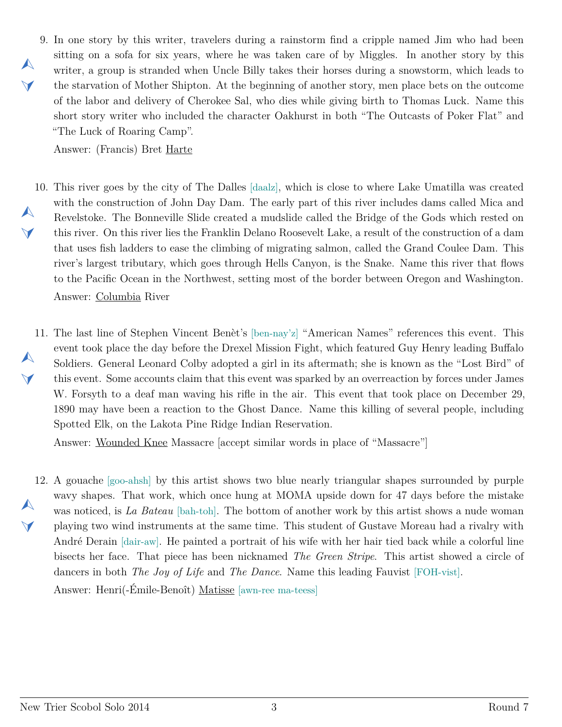<span id="page-2-0"></span>9. In one story by this writer, travelers during a rainstorm find a cripple named Jim who had been sitting on a sofa for six years, where he was taken care of by Miggles. In another story by this writer, a group is stranded when Uncle Billy takes their horses during a snowstorm, which leads to the starvation of Mother Shipton. At the beginning of another story, men place bets on the outcome of the labor and delivery of Cherokee Sal, who dies while giving birth to Thomas Luck. Name this short story writer who included the character Oakhurst in both "The Outcasts of Poker Flat" and "The Luck of Roaring Camp".

Answer: (Francis) Bret Harte

 $\blacktriangle$ 

 $\vee$ 

- <span id="page-2-1"></span>10. This river goes by the city of The Dalles [daalz], which is close to where Lake Umatilla was created  $\blacktriangle$  $\blacktriangledown$ with the construction of John Day Dam. The early part of this river includes dams called Mica and Revelstoke. The Bonneville Slide created a mudslide called the Bridge of the Gods which rested on this river. On this river lies the Franklin Delano Roosevelt Lake, a result of the construction of a dam that uses fish ladders to ease the climbing of migrating salmon, called the Grand Coulee Dam. This river's largest tributary, which goes through Hells Canyon, is the Snake. Name this river that flows to the Pacific Ocean in the Northwest, setting most of the border between Oregon and Washington. Answer: Columbia River
- <span id="page-2-2"></span>11. The last line of Stephen Vincent Benèt's [ben-nay'z] "American Names" references this event. This  $\blacktriangle$  $\blacktriangleleft$ event took place the day before the Drexel Mission Fight, which featured Guy Henry leading Buffalo Soldiers. General Leonard Colby adopted a girl in its aftermath; she is known as the "Lost Bird" of this event. Some accounts claim that this event was sparked by an overreaction by forces under James W. Forsyth to a deaf man waving his rifle in the air. This event that took place on December 29, 1890 may have been a reaction to the Ghost Dance. Name this killing of several people, including Spotted Elk, on the Lakota Pine Ridge Indian Reservation.

Answer: Wounded Knee Massacre [accept similar words in place of "Massacre"]

<span id="page-2-3"></span>12. A gouache [goo-ahsh] by this artist shows two blue nearly triangular shapes surrounded by purple  $\blacktriangle$  $\blacktriangledown$ wavy shapes. That work, which once hung at MOMA upside down for 47 days before the mistake was noticed, is *La Bateau* [bah-toh]. The bottom of another work by this artist shows a nude woman playing two wind instruments at the same time. This student of Gustave Moreau had a rivalry with André Derain [dair-aw]. He painted a portrait of his wife with her hair tied back while a colorful line bisects her face. That piece has been nicknamed *The Green Stripe*. This artist showed a circle of dancers in both *The Joy of Life* and *The Dance*. Name this leading Fauvist [FOH-vist]. Answer: Henri(-Émile-Benoît) Matisse [awn-ree ma-teess]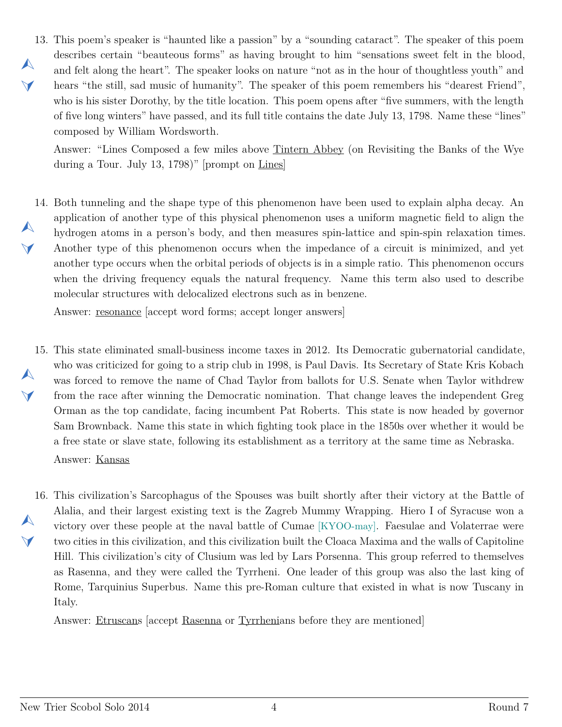<span id="page-3-0"></span>13. This poem's speaker is "haunted like a passion" by a "sounding cataract". The speaker of this poem  $\blacktriangle$  $\blacktriangleleft$ describes certain "beauteous forms" as having brought to him "sensations sweet felt in the blood, and felt along the heart". The speaker looks on nature "not as in the hour of thoughtless youth" and hears "the still, sad music of humanity". The speaker of this poem remembers his "dearest Friend", who is his sister Dorothy, by the title location. This poem opens after "five summers, with the length of five long winters" have passed, and its full title contains the date July 13, 1798. Name these "lines" composed by William Wordsworth.

Answer: "Lines Composed a few miles above Tintern Abbey (on Revisiting the Banks of the Wye during a Tour. July 13, 1798)" [prompt on Lines]

<span id="page-3-1"></span>14. Both tunneling and the shape type of this phenomenon have been used to explain alpha decay. An  $\blacktriangle$  $\blacktriangledown$ application of another type of this physical phenomenon uses a uniform magnetic field to align the hydrogen atoms in a person's body, and then measures spin-lattice and spin-spin relaxation times. Another type of this phenomenon occurs when the impedance of a circuit is minimized, and yet another type occurs when the orbital periods of objects is in a simple ratio. This phenomenon occurs when the driving frequency equals the natural frequency. Name this term also used to describe molecular structures with delocalized electrons such as in benzene.

Answer: resonance [accept word forms; accept longer answers]

- <span id="page-3-2"></span>15. This state eliminated small-business income taxes in 2012. Its Democratic gubernatorial candidate,  $\blacktriangle$  $\blacktriangle$ who was criticized for going to a strip club in 1998, is Paul Davis. Its Secretary of State Kris Kobach was forced to remove the name of Chad Taylor from ballots for U.S. Senate when Taylor withdrew from the race after winning the Democratic nomination. That change leaves the independent Greg Orman as the top candidate, facing incumbent Pat Roberts. This state is now headed by governor Sam Brownback. Name this state in which fighting took place in the 1850s over whether it would be a free state or slave state, following its establishment as a territory at the same time as Nebraska. Answer: Kansas
- <span id="page-3-3"></span>16. This civilization's Sarcophagus of the Spouses was built shortly after their victory at the Battle of  $\blacktriangle$  $\blacktriangle$ Alalia, and their largest existing text is the Zagreb Mummy Wrapping. Hiero I of Syracuse won a victory over these people at the naval battle of Cumae [KYOO-may]. Faesulae and Volaterrae were two cities in this civilization, and this civilization built the Cloaca Maxima and the walls of Capitoline Hill. This civilization's city of Clusium was led by Lars Porsenna. This group referred to themselves as Rasenna, and they were called the Tyrrheni. One leader of this group was also the last king of Rome, Tarquinius Superbus. Name this pre-Roman culture that existed in what is now Tuscany in Italy.

Answer: Etruscans [accept Rasenna or Tyrrhenians before they are mentioned]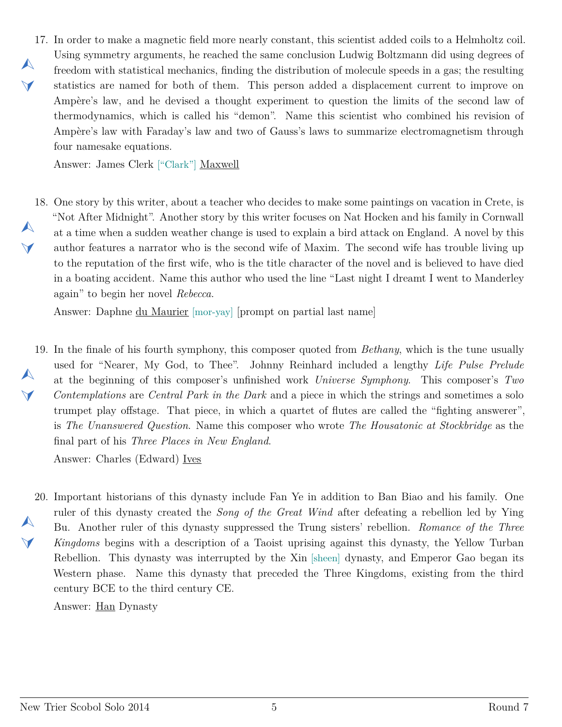<span id="page-4-0"></span>17. In order to make a magnetic field more nearly constant, this scientist added coils to a Helmholtz coil.  $\blacktriangle$  $\blacktriangleleft$ Using symmetry arguments, he reached the same conclusion Ludwig Boltzmann did using degrees of freedom with statistical mechanics, finding the distribution of molecule speeds in a gas; the resulting statistics are named for both of them. This person added a displacement current to improve on Ampère's law, and he devised a thought experiment to question the limits of the second law of thermodynamics, which is called his "demon". Name this scientist who combined his revision of Ampère's law with Faraday's law and two of Gauss's laws to summarize electromagnetism through four namesake equations.

Answer: James Clerk ["Clark"] Maxwell

<span id="page-4-1"></span>18. One story by this writer, about a teacher who decides to make some paintings on vacation in Crete, is  $\blacktriangle$  $\blacktriangledown$ "Not After Midnight". Another story by this writer focuses on Nat Hocken and his family in Cornwall at a time when a sudden weather change is used to explain a bird attack on England. A novel by this author features a narrator who is the second wife of Maxim. The second wife has trouble living up to the reputation of the first wife, who is the title character of the novel and is believed to have died in a boating accident. Name this author who used the line "Last night I dreamt I went to Manderley again" to begin her novel *Rebecca*.

Answer: Daphne du Maurier [mor-yay] [prompt on partial last name]

<span id="page-4-2"></span>19. In the finale of his fourth symphony, this composer quoted from *Bethany*, which is the tune usually  $\blacktriangle$  $\vee$ used for "Nearer, My God, to Thee". Johnny Reinhard included a lengthy *Life Pulse Prelude* at the beginning of this composer's unfinished work *Universe Symphony*. This composer's *Two Contemplations* are *Central Park in the Dark* and a piece in which the strings and sometimes a solo trumpet play offstage. That piece, in which a quartet of flutes are called the "fighting answerer", is *The Unanswered Question*. Name this composer who wrote *The Housatonic at Stockbridge* as the final part of his *Three Places in New England*.

Answer: Charles (Edward) Ives

<span id="page-4-3"></span>20. Important historians of this dynasty include Fan Ye in addition to Ban Biao and his family. One  $\blacktriangle$  $\blacktriangleleft$ ruler of this dynasty created the *Song of the Great Wind* after defeating a rebellion led by Ying Bu. Another ruler of this dynasty suppressed the Trung sisters' rebellion. *Romance of the Three Kingdoms* begins with a description of a Taoist uprising against this dynasty, the Yellow Turban Rebellion. This dynasty was interrupted by the Xin [sheen] dynasty, and Emperor Gao began its Western phase. Name this dynasty that preceded the Three Kingdoms, existing from the third century BCE to the third century CE.

Answer: Han Dynasty